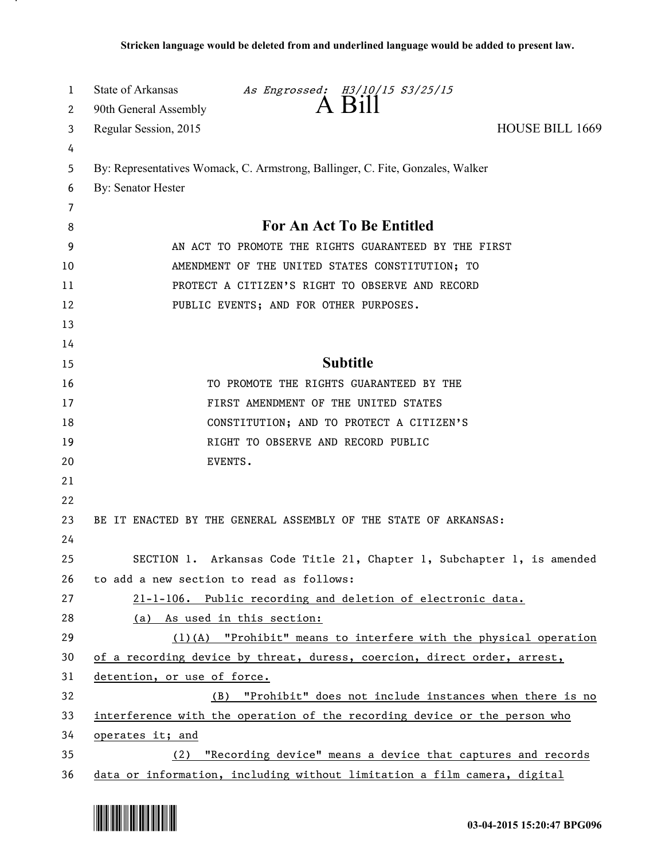| 1      | State of Arkansas<br>As Engrossed: H3/10/15 S3/25/15<br>A Bill                 |  |
|--------|--------------------------------------------------------------------------------|--|
| 2      | 90th General Assembly                                                          |  |
| 3      | Regular Session, 2015<br><b>HOUSE BILL 1669</b>                                |  |
| 4      |                                                                                |  |
| 5      | By: Representatives Womack, C. Armstrong, Ballinger, C. Fite, Gonzales, Walker |  |
| 6      | By: Senator Hester                                                             |  |
| 7<br>8 | For An Act To Be Entitled                                                      |  |
| 9      | AN ACT TO PROMOTE THE RIGHTS GUARANTEED BY THE FIRST                           |  |
| 10     | AMENDMENT OF THE UNITED STATES CONSTITUTION; TO                                |  |
| 11     | PROTECT A CITIZEN'S RIGHT TO OBSERVE AND RECORD                                |  |
| 12     | PUBLIC EVENTS; AND FOR OTHER PURPOSES.                                         |  |
| 13     |                                                                                |  |
| 14     |                                                                                |  |
| 15     | <b>Subtitle</b>                                                                |  |
| 16     | TO PROMOTE THE RIGHTS GUARANTEED BY THE                                        |  |
| 17     | FIRST AMENDMENT OF THE UNITED STATES                                           |  |
| 18     | CONSTITUTION; AND TO PROTECT A CITIZEN'S                                       |  |
| 19     | RIGHT TO OBSERVE AND RECORD PUBLIC                                             |  |
| 20     | EVENTS.                                                                        |  |
| 21     |                                                                                |  |
| 22     |                                                                                |  |
| 23     | BE IT ENACTED BY THE GENERAL ASSEMBLY OF THE STATE OF ARKANSAS:                |  |
| 24     |                                                                                |  |
| 25     | SECTION 1. Arkansas Code Title 21, Chapter 1, Subchapter 1, is amended         |  |
| 26     | to add a new section to read as follows:                                       |  |
| 27     | 21-1-106. Public recording and deletion of electronic data.                    |  |
| 28     | (a) As used in this section:                                                   |  |
| 29     | $(1)$ (A) "Prohibit" means to interfere with the physical operation            |  |
| 30     | of a recording device by threat, duress, coercion, direct order, arrest,       |  |
| 31     | detention, or use of force.                                                    |  |
| 32     | "Prohibit" does not include instances when there is no<br>(B)                  |  |
| 33     | interference with the operation of the recording device or the person who      |  |
| 34     | operates it; and                                                               |  |
| 35     | "Recording device" means a device that captures and records<br>(2)             |  |
| 36     | data or information, including without limitation a film camera, digital       |  |



.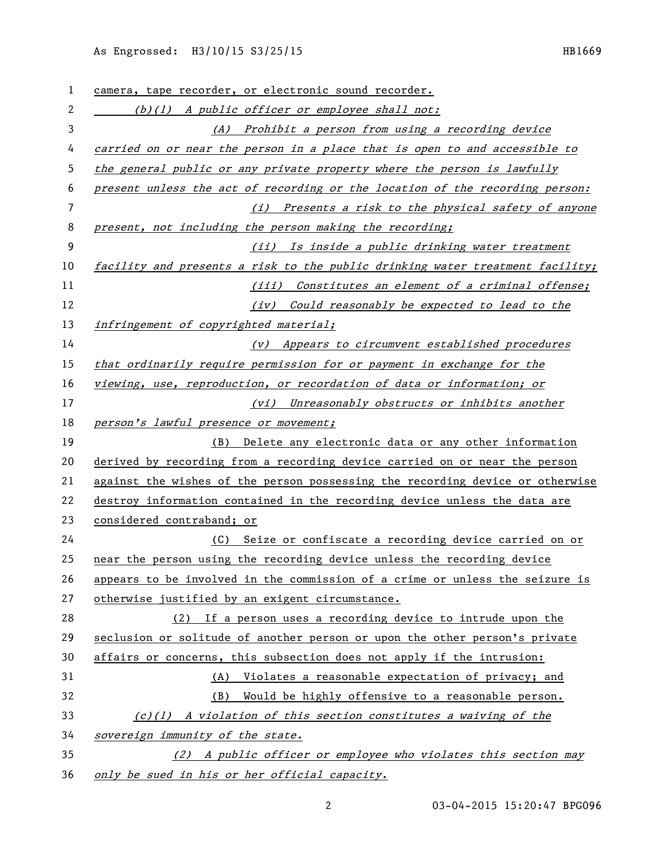## As Engrossed: H3/10/15 S3/25/15 HB1669

| $\mathbf{1}$ | camera, tape recorder, or electronic sound recorder.                          |
|--------------|-------------------------------------------------------------------------------|
| 2            | $(b)(1)$ A public officer or employee shall not:                              |
| 3            | (A) Prohibit a person from using a recording device                           |
| 4            | carried on or near the person in a place that is open to and accessible to    |
| 5            | the general public or any private property where the person is lawfully       |
| 6            | present unless the act of recording or the location of the recording person:  |
| 7            | (i) Presents a risk to the physical safety of anyone                          |
| 8            | present, not including the person making the recording;                       |
| 9            | (ii) Is inside a public drinking water treatment                              |
| 10           | facility and presents a risk to the public drinking water treatment facility; |
| 11           | (iii) Constitutes an element of a criminal offense;                           |
| 12           | (iv) Could reasonably be expected to lead to the                              |
| 13           | infringement of copyrighted material;                                         |
| 14           | (v) Appears to circumvent established procedures                              |
| 15           | that ordinarily require permission for or payment in exchange for the         |
| 16           | viewing, use, reproduction, or recordation of data or information; or         |
| 17           | (vi) Unreasonably obstructs or inhibits another                               |
| 18           | person's lawful presence or movement;                                         |
| 19           | Delete any electronic data or any other information<br>(B)                    |
| 20           | derived by recording from a recording device carried on or near the person    |
| 21           | against the wishes of the person possessing the recording device or otherwise |
| 22           | destroy information contained in the recording device unless the data are     |
| 23           | considered contraband; or                                                     |
| 24           | Seize or confiscate a recording device carried on or<br>(C)                   |
| 25           | near the person using the recording device unless the recording device        |
| 26           | appears to be involved in the commission of a crime or unless the seizure is  |
| 27           | otherwise justified by an exigent circumstance.                               |
| 28           | (2) If a person uses a recording device to intrude upon the                   |
| 29           | seclusion or solitude of another person or upon the other person's private    |
| 30           | affairs or concerns, this subsection does not apply if the intrusion:         |
| 31           | Violates a reasonable expectation of privacy; and<br>(A)                      |
| 32           | Would be highly offensive to a reasonable person.<br>(B)                      |
| 33           | $(c)(1)$ A violation of this section constitutes a waiving of the             |
| 34           | sovereign immunity of the state.                                              |
| 35           | (2) A public officer or employee who violates this section may                |
| 36           | only be sued in his or her official capacity.                                 |